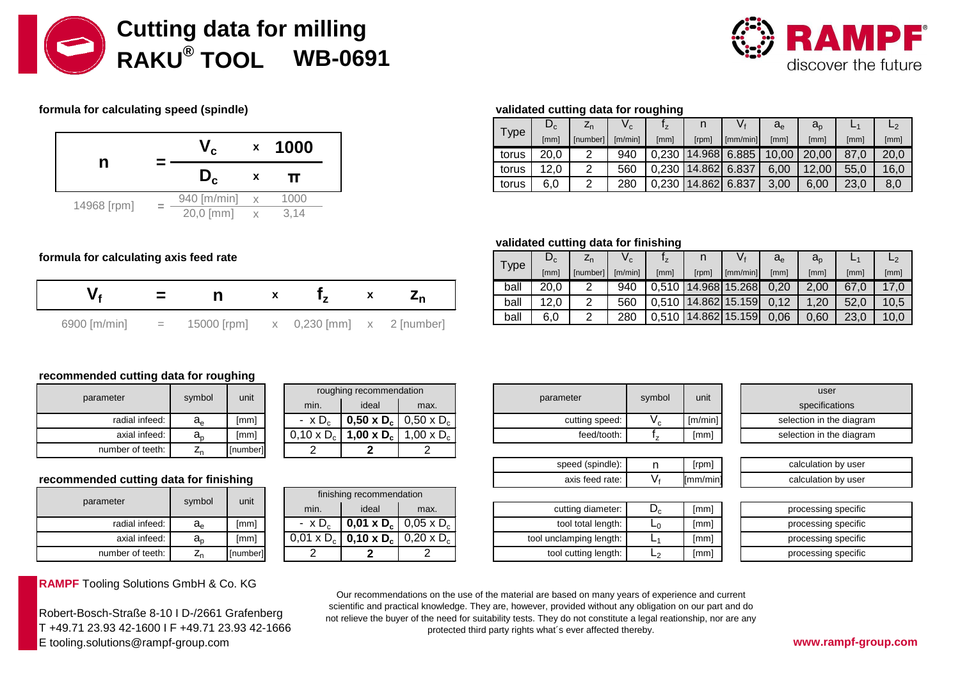



# **formula for calculating speed (spindle) validated cutting data for roughing**



|                   |     | Type | $L_{c}$ | Ζn       | V.      |       |              | V٠                       | $a_e$ | $a_{n}$                        | -    |      |
|-------------------|-----|------|---------|----------|---------|-------|--------------|--------------------------|-------|--------------------------------|------|------|
|                   | 000 |      | [mm]    | [number] | [m/min] | [mm]  | [rpm]        | $\lceil$ mm/min $\rceil$ | [mm]  | [mm]                           | [mm] | [mm] |
| torus             |     |      | 20,0    |          | 940     | 0.230 |              |                          |       | $14.968$ 6.885   10,00   20,00 | 87.0 |      |
| 12,0<br>torus     |     |      |         | ⌒        | 560     | 0,230 | 14.862 6.837 |                          | 6,00  | 12,00                          | 55,0 |      |
| 6,0<br>⌒<br>torus |     |      |         |          | 280     | 0,230 | 14.862 6.837 |                          | 3,00  | 6,00                           | 23,0 |      |

# **validated cutting data for finishing**

| Type | $\mathbf{v}_{\rm c}$ | 4η       | v <sub>c</sub> | 'z     |        |               | $a_e$ | $a_{\rm o}$ |      | L2   |
|------|----------------------|----------|----------------|--------|--------|---------------|-------|-------------|------|------|
|      | [mm]                 | [number] | [m/min]        | [mm]   | [rpm]  | [mm/min]      | [mm]  | [mm]        | [mm] | [mm] |
| ball | 20.0                 |          | 940            | 0.510  |        | 14.968 15.268 | 0,20  | 2.00        | 67.0 | 17,0 |
| ball | 2.0                  | っ        | 560            | 0.5101 |        | 14.862 15.159 | 0.12  |             | 52.0 | 10,5 |
| ball | 6,0                  |          | 280            |        | 14.862 | 15.159        | 0,06  | 0.60        | 23,0 | 10,0 |

### formula for calculating axis feed rate

|                |     |             |                           |  | ball |
|----------------|-----|-------------|---------------------------|--|------|
|                |     |             |                           |  | ball |
| $6900$ [m/min] | $=$ | 15000 [rpm] | x 0,230 [mm] x 2 [number] |  | ball |
|                |     |             |                           |  |      |

## **recommended cutting data for roughing**

| parameter        | symbol      | unit     |
|------------------|-------------|----------|
| radial infeed:   | $a_e$       | [mm]     |
| axial infeed:    | $a_{\rm o}$ | [mm]     |
| number of teeth: |             | [number] |

### recommended cutting data for finishing

| parameter        | symbol      | unit   |
|------------------|-------------|--------|
| radial infeed:   | $a_e$       | [mm]   |
| axial infeed:    | $a_{\rm o}$ | [mm]   |
| number of teeth: |             | number |

**RAMPF** Tooling Solutions GmbH & Co. KG

Robert-Bosch-Straße 8-10 I D-/2661 Grafenberg T +49.71 23.93 42-1600 I F +49.71 23.93 42-1666 E tooling.solutions@rampf-group.com **www.rampf-group.com**

| unit     |                   | roughing recommendation |                                                     |
|----------|-------------------|-------------------------|-----------------------------------------------------|
|          | min.              | ideal                   | max.                                                |
| [mm]     | $- x D_c$         |                         | <b>0,50 x D<sub>c</sub></b>   0,50 x D <sub>c</sub> |
| [mm]     | $0,10 \times D_c$ | 1,00 x $D_c$            | 1,00 x $D_c$                                        |
| [number] |                   |                         |                                                     |

| unit     |                   | finishing recommendation |                                                     |
|----------|-------------------|--------------------------|-----------------------------------------------------|
|          | min.              | ideal                    | max.                                                |
| [mm]     | $- x D_c$         |                          | <b>0,01 x D<sub>c</sub></b>   0,05 x D <sub>c</sub> |
| [mm]     | $0,01 \times D_c$ |                          | <b>0,10 x D<sub>c</sub></b>   0,20 x D <sub>c</sub> |
| [number] |                   |                          |                                                     |

|              | roughing recommendation |                                                            |                |        |         | user                 |
|--------------|-------------------------|------------------------------------------------------------|----------------|--------|---------|----------------------|
| min.         | ideal                   | max.                                                       | parameter      | symbol | unit    | specifications       |
| $\times D_c$ |                         | 0,50 x D <sub>c</sub>   0,50 x D <sub>c</sub>              | cutting speed: | י ש    | [m/min] | selection in the dia |
|              |                         | $0 \times D_c$ 1,00 x D <sub>c</sub> 1,00 x D <sub>c</sub> | feed/tooth:    |        | [mm]    | selection in the dia |

| speed (spindle):  | Irpml           |
|-------------------|-----------------|
| axis feed rate: I | ${\sf Imm/min}$ |

| cutting diameter:       | [mm] |
|-------------------------|------|
| tool total length:      | [mm] |
| tool unclamping length: | [mm] |
| tool cutting length:    | [mm] |

|         | user                     |
|---------|--------------------------|
| unit    | specifications           |
| [m/min] | selection in the diagram |
| [mm]    | selection in the diagram |

| [rpm]           | calculation by user |
|-----------------|---------------------|
| ${\sf Imm/min}$ | calculation by user |

| [mm] | processing specific |
|------|---------------------|
| [mm] | processing specific |
| [mm] | processing specific |
| [mm] | processing specific |

Our recommendations on the use of the material are based on many years of experience and current scientific and practical knowledge. They are, however, provided without any obligation on our part and do not relieve the buyer of the need for suitability tests. They do not constitute a legal reationship, nor are any protected third party rights what´s ever affected thereby.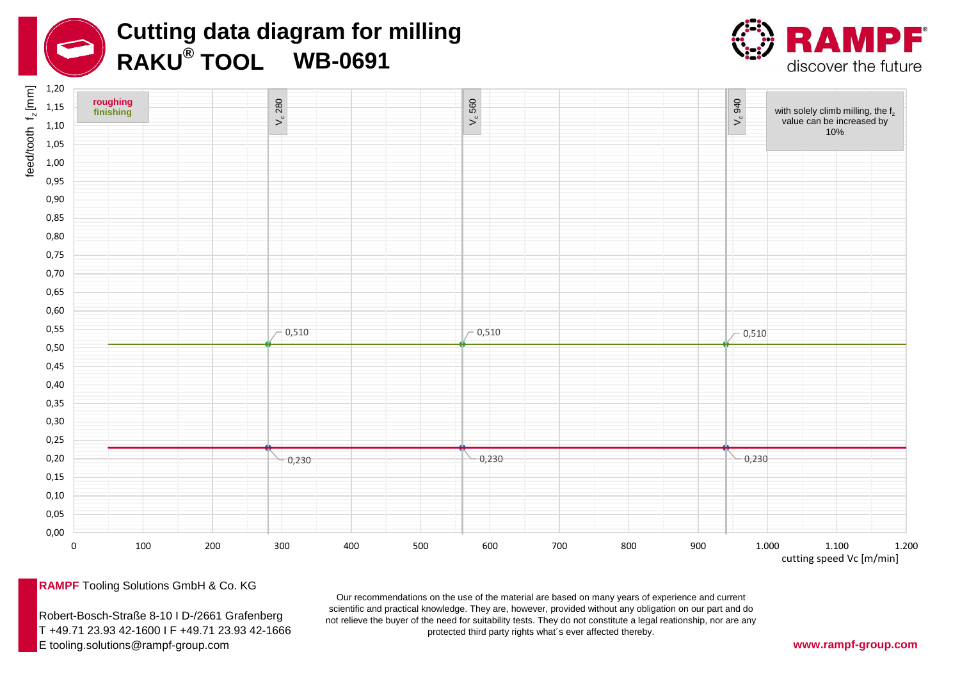





**RAMPF** Tooling Solutions GmbH & Co. KG

Robert-Bosch-Straße 8-10 I D-/2661 Grafenberg T +49.71 23.93 42-1600 I F +49.71 23.93 42-1666 E tooling.solutions@rampf-group.com **www.rampf-group.com**

Our recommendations on the use of the material are based on many years of experience and current scientific and practical knowledge. They are, however, provided without any obligation on our part and do not relieve the buyer of the need for suitability tests. They do not constitute a legal reationship, nor are any protected third party rights what´s ever affected thereby.